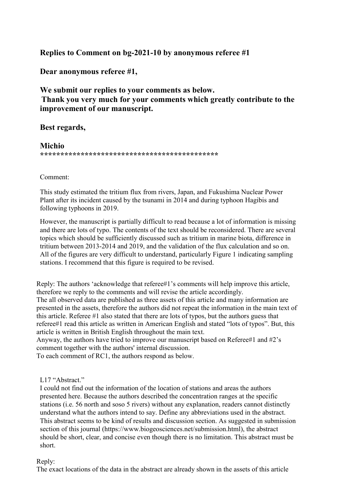**Replies to Comment on bg-2021-10 by anonymous referee #1**

**Dear anonymous referee #1,**

**We submit our replies to your comments as below. Thank you very much for your comments which greatly contribute to the improvement of our manuscript.**

# **Best regards,**

**Michio \*\*\*\*\*\*\*\*\*\*\*\*\*\*\*\*\*\*\*\*\*\*\*\*\*\*\*\*\*\*\*\*\*\*\*\*\*\*\*\*\*\*\*\***

Comment:

This study estimated the tritium flux from rivers, Japan, and Fukushima Nuclear Power Plant after its incident caused by the tsunami in 2014 and during typhoon Hagibis and following typhoons in 2019.

However, the manuscript is partially difficult to read because a lot of information is missing and there are lots of typo. The contents of the text should be reconsidered. There are several topics which should be sufficiently discussed such as tritium in marine biota, difference in tritium between 2013-2014 and 2019, and the validation of the flux calculation and so on. All of the figures are very difficult to understand, particularly Figure 1 indicating sampling stations. I recommend that this figure is required to be revised.

Reply: The authors 'acknowledge that referee#1's comments will help improve this article, therefore we reply to the comments and will revise the article accordingly. The all observed data are published as three assets of this article and many information are presented in the assets, therefore the authors did not repeat the information in the main text of this article. Referee #1 also stated that there are lots of typos, but the authors guess that referee#1 read this article as written in American English and stated "lots of typos". But, this article is written in British English throughout the main text.

Anyway, the authors have tried to improve our manuscript based on Referee#1 and #2's comment together with the authors' internal discussion.

To each comment of RC1, the authors respond as below.

# L17 "Abstract."

I could not find out the information of the location of stations and areas the authors presented here. Because the authors described the concentration ranges at the specific stations (i.e. 56 north and soso 5 rivers) without any explanation, readers cannot distinctly understand what the authors intend to say. Define any abbreviations used in the abstract. This abstract seems to be kind of results and discussion section. As suggested in [submission](http://www.biogeosciences.net/submission.html))  [section of this journal \(https://www.biogeosciences.net/submission.html\),](http://www.biogeosciences.net/submission.html)) the abstract should be short, clear, and concise even though there is no limitation. This abstract must be short.

## Reply:

The exact locations of the data in the abstract are already shown in the assets of this article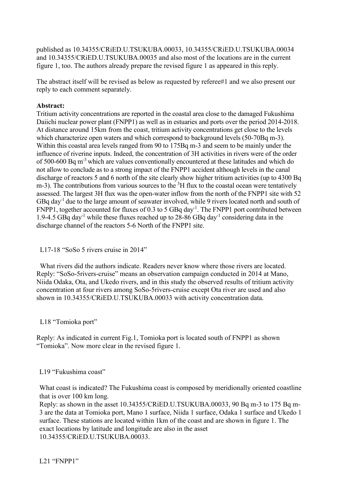published as 10.34355/CRiED.U.TSUKUBA.00033, 10.34355/CRiED.U.TSUKUBA.00034 and 10.34355/CRiED.U.TSUKUBA.00035 and also most of the locations are in the current figure 1, too. The authors already prepare the revised figure 1 as appeared in this reply.

The abstract itself will be revised as below as requested by referee#1 and we also present our reply to each comment separately.

#### **Abstract:**

Tritium activity concentrations are reported in the coastal area close to the damaged Fukushima Daiichi nuclear power plant (FNPP1) as well as in estuaries and ports over the period 2014-2018. At distance around 15km from the coast, tritium activity concentrations get close to the levels which characterize open waters and which correspond to background levels (50-70Bq m-3). Within this coastal area levels ranged from 90 to 175Bq m-3 and seem to be mainly under the influence of riverine inputs. Indeed, the concentration of 3H activities in rivers were of the order of 500-600 Bq m<sup>-3</sup> which are values conventionally encountered at these latitudes and which do not allow to conclude as to a strong impact of the FNPP1 accident although levels in the canal discharge of reactors 5 and 6 north of the site clearly show higher tritium activities (up to 4300 Bq m-3). The contributions from various sources to the  ${}^{3}H$  flux to the coastal ocean were tentatively assessed. The largest 3H flux was the open-water inflow from the north of the FNPP1 site with 52 GBq day-1 due to the large amount of seawater involved, while 9 rivers located north and south of FNPP1, together accounted for fluxes of  $0.3$  to 5 GBq day<sup>-1</sup>. The FNPP1 port contributed between 1.9-4.5 GBq day<sup>-1</sup> while these fluxes reached up to 28-86 GBq day<sup>-1</sup> considering data in the discharge channel of the reactors 5-6 North of the FNPP1 site.

L17-18 "SoSo 5 rivers cruise in 2014"

What rivers did the authors indicate. Readers never know where those rivers are located. Reply: "SoSo-5rivers-cruise" means an observation campaign conducted in 2014 at Mano, Niida Odaka, Ota, and Ukedo rivers, and in this study the observed results of tritium activity concentration at four rivers among SoSo-5rivers-cruise except Ota river are used and also shown in 10.34355/CRiED.U.TSUKUBA.00033 with activity concentration data.

## L18 "Tomioka port"

Reply: As indicated in current Fig.1, Tomioka port is located south of FNPP1 as shown "Tomioka". Now more clear in the revised figure 1.

#### L19 "Fukushima coast"

What coast is indicated? The Fukushima coast is composed by meridionally oriented coastline that is over 100 km long.

Reply: as shown in the asset 10.34355/CRiED.U.TSUKUBA.00033, 90 Bq m-3 to 175 Bq m-3 are the data at Tomioka port, Mano 1 surface, Niida 1 surface, Odaka 1 surface and Ukedo 1 surface. These stations are located within 1km of the coast and are shown in figure 1. The exact locations by latitude and longitude are also in the asset 10.34355/CRiED.U.TSUKUBA.00033.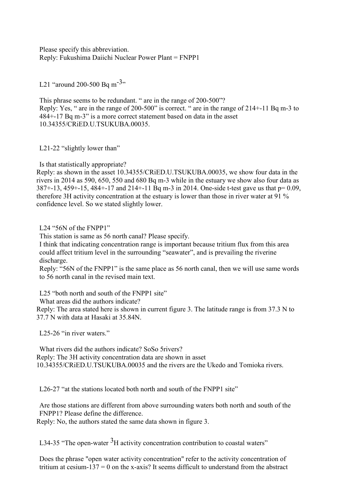Please specify this abbreviation. Reply: Fukushima Daiichi Nuclear Power Plant = FNPP1

L21 "around 200-500 Bq m<sup>-3</sup>"

This phrase seems to be redundant. " are in the range of 200-500"? Reply: Yes, " are in the range of 200-500" is correct. " are in the range of 214+-11 Bq m-3 to 484+-17 Bq m-3" is a more correct statement based on data in the asset 10.34355/CRiED.U.TSUKUBA.00035.

L21-22 "slightly lower than"

Is that statistically appropriate?

Reply: as shown in the asset 10.34355/CRiED.U.TSUKUBA.00035, we show four data in the rivers in 2014 as 590, 650, 550 and 680 Bq m-3 while in the estuary we show also four data as  $387 + -13$ ,  $459 + -15$ ,  $484 + -17$  and  $214 + -11$  Bq m-3 in 2014. One-side t-test gave us that  $p= 0.09$ , therefore 3H activity concentration at the estuary is lower than those in river water at 91 % confidence level. So we stated slightly lower.

L24 "56N of the FNPP1"

This station is same as 56 north canal? Please specify.

I think that indicating concentration range is important because tritium flux from this area could affect tritium level in the surrounding "seawater", and is prevailing the riverine discharge.

Reply: "56N of the FNPP1" is the same place as 56 north canal, then we will use same words to 56 north canal in the revised main text.

L25 "both north and south of the FNPP1 site"

What areas did the authors indicate?

Reply: The area stated here is shown in current figure 3. The latitude range is from 37.3 N to 37.7 N with data at Hasaki at 35.84N.

L25-26 "in river waters."

What rivers did the authors indicate? SoSo 5rivers? Reply: The 3H activity concentration data are shown in asset 10.34355/CRiED.U.TSUKUBA.00035 and the rivers are the Ukedo and Tomioka rivers.

L26-27 "at the stations located both north and south of the FNPP1 site"

Are those stations are different from above surrounding waters both north and south of the FNPP1? Please define the difference.

Reply: No, the authors stated the same data shown in figure 3.

L34-35 "The open-water  ${}^{3}H$  activity concentration contribution to coastal waters"

Does the phrase "open water activity concentration" refer to the activity concentration of tritium at cesium-137 = 0 on the x-axis? It seems difficult to understand from the abstract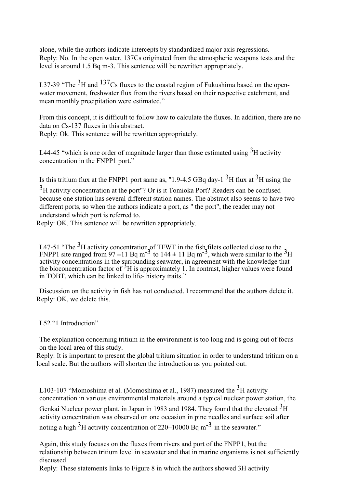alone, while the authors indicate intercepts by standardized major axis regressions. Reply: No. In the open water, 137Cs originated from the atmospheric weapons tests and the level is around 1.5 Bq m-3. This sentence will be rewritten appropriately.

L37-39 "The  $3H$  and  $137Cs$  fluxes to the coastal region of Fukushima based on the openwater movement, freshwater flux from the rivers based on their respective catchment, and mean monthly precipitation were estimated."

From this concept, it is difficult to follow how to calculate the fluxes. In addition, there are no data on Cs-137 fluxes in this abstract.

Reply: Ok. This sentence will be rewritten appropriately.

L44-45 "which is one order of magnitude larger than those estimated using  $3H$  activity concentration in the FNPP1 port."

Is this tritium flux at the FNPP1 port same as, "1.9-4.5 GBq day-1  $3$ H flux at  $3$ H using the  $3H$  activity concentration at the port"? Or is it Tomioka Port? Readers can be confused because one station has several different station names. The abstract also seems to have two different ports, so when the authors indicate a port, as " the port", the reader may not understand which port is referred to.

Reply: OK. This sentence will be rewritten appropriately.

L47-51 "The <sup>3</sup>H activity concentration of TFWT in the fish filets collected close to the FNPP1 site ranged from  $97 \pm 11$  Bq m<sup>-3</sup> to  $144 \pm 11$  Bq m<sup>-3</sup>, which were similar to the <sup>3</sup>H activity concentrations in the surrounding seawater, in agreement with the knowledge that the bioconcentration factor of  ${}^{5}H$  is approximately 1. In contrast, higher values were found in TOBT, which can be linked to life- history traits."

Discussion on the activity in fish has not conducted. I recommend that the authors delete it. Reply: OK, we delete this.

L52 "1 Introduction"

The explanation concerning tritium in the environment is too long and is going out of focus on the local area of this study.

Reply: It is important to present the global tritium situation in order to understand tritium on a local scale. But the authors will shorten the introduction as you pointed out.

L103-107 "Momoshima et al. (Momoshima et al., 1987) measured the  $3H$  activity concentration in various environmental materials around a typical nuclear power station, the Genkai Nuclear power plant, in Japan in 1983 and 1984. They found that the elevated  ${}^{3}H$ activity concentration was observed on one occasion in pine needles and surface soil after noting a high  ${}^{3}H$  activity concentration of 220–10000 Bq m<sup>-3</sup> in the seawater."

Again, this study focuses on the fluxes from rivers and port of the FNPP1, but the relationship between tritium level in seawater and that in marine organisms is not sufficiently discussed.

Reply: These statements links to Figure 8 in which the authors showed 3H activity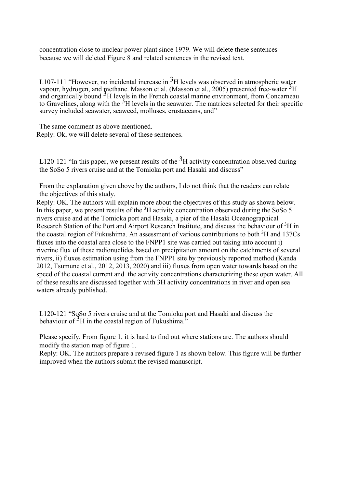concentration close to nuclear power plant since 1979. We will delete these sentences because we will deleted Figure 8 and related sentences in the revised text.

L107-111 "However, no incidental increase in  ${}^{3}H$  levels was observed in atmospheric water vapour, hydrogen, and methane. Masson et al. (Masson et al., 2005) presented free-water  ${}^{3}H$ and organically bound  $<sup>3</sup>H$  levels in the French coastal marine environment, from Concarneau</sup> to Gravelines, along with the  $3H$  levels in the seawater. The matrices selected for their specific survey included seawater, seaweed, molluscs, crustaceans, and"

The same comment as above mentioned. Reply: Ok, we will delete several of these sentences.

L120-121 "In this paper, we present results of the  $3H$  activity concentration observed during the SoSo 5 rivers cruise and at the Tomioka port and Hasaki and discuss"

From the explanation given above by the authors, I do not think that the readers can relate the objectives of this study.

Reply: OK. The authors will explain more about the objectives of this study as shown below. In this paper, we present results of the  ${}^{3}H$  activity concentration observed during the SoSo 5 rivers cruise and at the Tomioka port and Hasaki, a pier of the Hasaki Oceanographical Research Station of the Port and Airport Research Institute, and discuss the behaviour of <sup>3</sup>H in the coastal region of Fukushima. An assessment of various contributions to both  ${}^{3}H$  and 137Cs fluxes into the coastal area close to the FNPP1 site was carried out taking into account i) riverine flux of these radionuclides based on precipitation amount on the catchments of several rivers, ii) fluxes estimation using from the FNPP1 site by previously reported method (Kanda 2012, Tsumune et al., 2012, 2013, 2020) and iii) fluxes from open water towards based on the speed of the coastal current and the activity concentrations characterizing these open water. All of these results are discussed together with 3H activity concentrations in river and open sea waters already published.

L120-121 "SoSo 5 rivers cruise and at the Tomioka port and Hasaki and discuss the behaviour of  ${}^{3}H$  in the coastal region of Fukushima."

Please specify. From figure 1, it is hard to find out where stations are. The authors should modify the station map of figure 1.

Reply: OK. The authors prepare a revised figure 1 as shown below. This figure will be further improved when the authors submit the revised manuscript.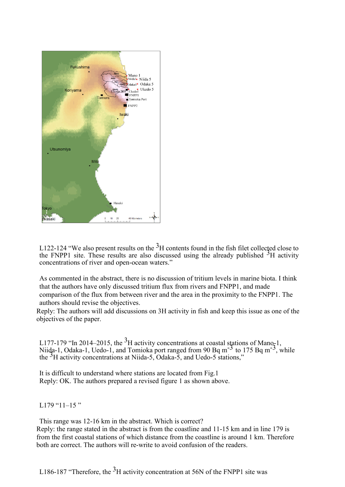

L122-124 "We also present results on the  $3<sup>H</sup>$  contents found in the fish filet collected close to the FNPP1 site. These results are also discussed using the already published  ${}^{5}H$  activity concentrations of river and open-ocean waters."

As commented in the abstract, there is no discussion of tritium levels in marine biota. I think that the authors have only discussed tritium flux from rivers and FNPP1, and made comparison of the flux from between river and the area in the proximity to the FNPP1. The authors should revise the objectives.

Reply: The authors will add discussions on 3H activity in fish and keep this issue as one of the objectives of the paper.

L177-179 "In 2014–2015, the <sup>3</sup>H activity concentrations at coastal stations of Mano-1, Niida-1, Odaka-1, Uedo-1, and Tomioka port ranged from  $90 Bq m<sup>-3</sup>$  to 175 Bq m<sup>-3</sup>, while the  ${}^{3}$ H activity concentrations at Niida-5, Odaka-5, and Uedo-5 stations,"

It is difficult to understand where stations are located from Fig.1 Reply: OK. The authors prepared a revised figure 1 as shown above.

L179 " $11-15$ "

This range was 12-16 km in the abstract. Which is correct?

Reply: the range stated in the abstract is from the coastline and 11-15 km and in line 179 is from the first coastal stations of which distance from the coastline is around 1 km. Therefore both are correct. The authors will re-write to avoid confusion of the readers.

L186-187 "Therefore, the  ${}^{3}H$  activity concentration at 56N of the FNPP1 site was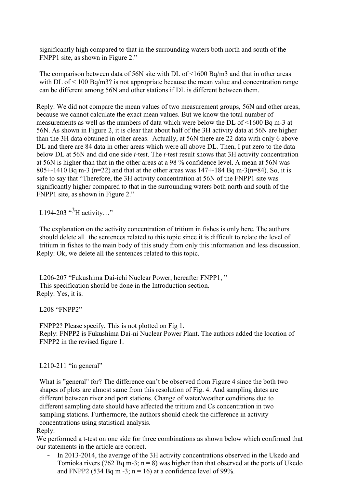significantly high compared to that in the surrounding waters both north and south of the FNPP1 site, as shown in Figure 2."

The comparison between data of 56N site with DL of <1600 Bq/m3 and that in other areas with DL of  $\leq 100$  Bq/m3? is not appropriate because the mean value and concentration range can be different among 56N and other stations if DL is different between them.

Reply: We did not compare the mean values of two measurement groups, 56N and other areas, because we cannot calculate the exact mean values. But we know the total number of measurements as well as the numbers of data which were below the DL of <1600 Bq m-3 at 56N. As shown in Figure 2, it is clear that about half of the 3H activity data at 56N are higher than the 3H data obtained in other areas. Actually, at 56N there are 22 data with only 6 above DL and there are 84 data in other areas which were all above DL. Then, I put zero to the data below DL at 56N and did one side *t*-test. The *t*-test result shows that 3H activity concentration at 56N is higher than that in the other areas at a 98 % confidence level. A mean at 56N was 805+-1410 Bq m-3 (n=22) and that at the other areas was  $147+184$  Bq m-3(n=84). So, it is safe to say that "Therefore, the 3H activity concentration at 56N of the FNPP1 site was significantly higher compared to that in the surrounding waters both north and south of the FNPP1 site, as shown in Figure 2."

L194-203  $^{3}$ H activity..."

The explanation on the activity concentration of tritium in fishes is only here. The authors should delete all the sentences related to this topic since it is difficult to relate the level of tritium in fishes to the main body of this study from only this information and less discussion. Reply: Ok, we delete all the sentences related to this topic.

L206-207 "Fukushima Dai-ichi Nuclear Power, hereafter FNPP1, " This specification should be done in the Introduction section. Reply: Yes, it is.

L208 "FNPP2"

FNPP2? Please specify. This is not plotted on Fig 1. Reply: FNPP2 is Fukushima Dai-ni Nuclear Power Plant. The authors added the location of FNPP2 in the revised figure 1.

## L210-211 "in general"

What is "general" for? The difference can't be observed from Figure 4 since the both two shapes of plots are almost same from this resolution of Fig. 4. And sampling dates are different between river and port stations. Change of water/weather conditions due to different sampling date should have affected the tritium and Cs concentration in two sampling stations. Furthermore, the authors should check the difference in activity concentrations using statistical analysis.

Reply:

We performed a t-test on one side for three combinations as shown below which confirmed that our statements in the article are correct.

In 2013-2014, the average of the 3H activity concentrations observed in the Ukedo and Tomioka rivers (762 Bq m-3;  $n = 8$ ) was higher than that observed at the ports of Ukedo and FNPP2 (534 Bq m -3;  $n = 16$ ) at a confidence level of 99%.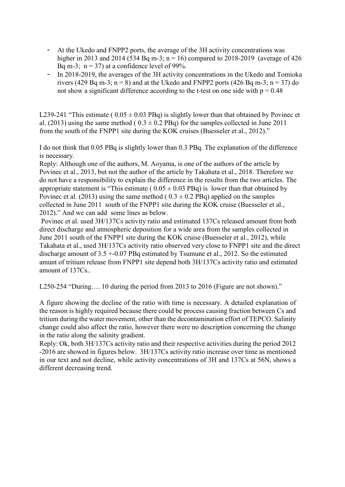- At the Ukedo and FNPP2 ports, the average of the 3H activity concentrations was higher in 2013 and 2014 (534 Bq m-3; n = 16) compared to 2018-2019 (average of 426 Bq m-3;  $n = 37$ ) at a confidence level of 99%.
- In 2018-2019, the averages of the 3H activity concentrations in the Ukedo and Tomioka rivers (429 Bq m-3; n = 8) and at the Ukedo and FNPP2 ports (426 Bq m-3; n = 37) do not show a significant difference according to the t-test on one side with  $p = 0.48$

L239-241 "This estimate ( $0.05 \pm 0.03$  PBq) is slightly lower than that obtained by Povinec et al. (2013) using the same method ( $0.3 \pm 0.2$  PBq) for the samples collected in June 2011 from the south of the FNPP1 site during the KOK cruises (Buesseler et al., 2012)."

I do not think that 0.05 PBq is slightly lower than 0.3 PBq. The explanation of the difference is necessary.

Reply: Although one of the authors, M. Aoyama, is one of the authors of the article by Povinec et al., 2013, but not the author of the article by Takahata et al., 2018. Therefore we do not have a responsibility to explain the difference in the results from the two articles. The appropriate statement is "This estimate ( $0.05 \pm 0.03$  PBq) is lower than that obtained by Povinec et al. (2013) using the same method ( $0.3 \pm 0.2$  PBq) applied on the samples collected in June 2011 south of the FNPP1 site during the KOK cruise (Buesseler et al., 2012)." And we can add some lines as below.

Povinec et al. used 3H/137Cs activity ratio and estimated 137Cs released amount from both direct discharge and atmospheric deposition for a wide area from the samples collected in June 2011 south of the FNPP1 site during the KOK cruise (Buesseler et al., 2012), while Takahata et al., used 3H/137Cs activity ratio observed very close to FNPP1 site and the direct discharge amount of 3.5 +-0.07 PBq estimated by Tsumune et al., 2012. So the estimated amunt of tritium release from FNPP1 site depend both 3H/137Cs activity ratio and estimated amount of 137Cs..

L250-254 "During…. 10 during the period from 2013 to 2016 (Figure are not shown)."

A figure showing the decline of the ratio with time is necessary. A detailed explanation of the reason is highly required because there could be process causing fraction between Cs and tritium during the water movement, other than the decontamination effort of TEPCO. Salinity change could also affect the ratio, however there were no description concerning the change in the ratio along the salinity gradient.

Reply: Ok, both 3H/137Cs activity ratio and their respective activities during the period 2012 -2016 are showed in figures below. 3H/137Cs activity ratio increase over time as mentioned in our text and not decline, while activity concentrations of 3H and 137Cs at 56N, shows a different decreasing trend.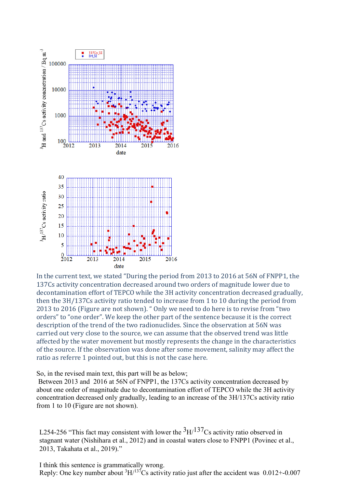

In the current text, we stated "During the period from 2013 to 2016 at 56N of FNPP1, the 137Cs activity concentration decreased around two orders of magnitude lower due to decontamination effort of TEPCO while the 3H activity concentration decreased gradually, then the 3H/137Cs activity ratio tended to increase from 1 to 10 during the period from 2013 to 2016 (Figure are not shown). " Only we need to do here is to revise from "two orders" to "one order". We keep the other part of the sentence because it is the correct description of the trend of the two radionuclides. Since the observation at 56N was carried out very close to the source, we can assume that the observed trend was little affected by the water movement but mostly represents the change in the characteristics of the source. If the observation was done after some movement, salinity may affect the ratio as referre 1 pointed out, but this is not the case here.

So, in the revised main text, this part will be as below;

Between 2013 and 2016 at 56N of FNPP1, the 137Cs activity concentration decreased by about one order of magnitude due to decontamination effort of TEPCO while the 3H activity concentration decreased only gradually, leading to an increase of the 3H/137Cs activity ratio from 1 to 10 (Figure are not shown).

L254-256 "This fact may consistent with lower the  ${}^{3}$ H/ ${}^{137}$ Cs activity ratio observed in stagnant water (Nishihara et al., 2012) and in coastal waters close to FNPP1 (Povinec et al., 2013, Takahata et al., 2019)."

I think this sentence is grammatically wrong. Reply: One key number about  ${}^{3}H/{}^{137}Cs$  activity ratio just after the accident was 0.012+-0.007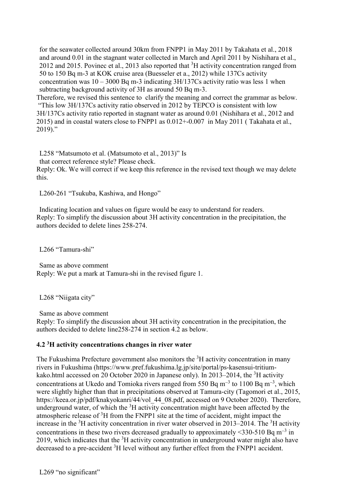for the seawater collected around 30km from FNPP1 in May 2011 by Takahata et al., 2018 and around 0.01 in the stagnant water collected in March and April 2011 by Nishihara et al., 2012 and 2015. Povinec et al., 2013 also reported that  ${}^{3}H$  activity concentration ranged from 50 to 150 Bq m-3 at KOK cruise area (Buesseler et a., 2012) while 137Cs activity concentration was  $10 - 3000$  Bq m-3 indicating 3H/137Cs activity ratio was less 1 when subtracting background activity of 3H as around 50 Bq m-3.

Therefore, we revised this sentence to clarify the meaning and correct the grammar as below. "This low 3H/137Cs activity ratio observed in 2012 by TEPCO is consistent with low 3H/137Cs activity ratio reported in stagnant water as around 0.01 (Nishihara et al., 2012 and 2015) and in coastal waters close to FNPP1 as 0.012+-0.007 in May 2011 ( Takahata et al., 2019)."

L258 "Matsumoto et al. (Matsumoto et al., 2013)" Is that correct reference style? Please check. Reply: Ok. We will correct if we keep this reference in the revised text though we may delete this.

L260-261 "Tsukuba, Kashiwa, and Hongo"

Indicating location and values on figure would be easy to understand for readers. Reply: To simplify the discussion about 3H activity concentration in the precipitation, the authors decided to delete lines 258-274.

L266 "Tamura-shi"

Same as above comment Reply: We put a mark at Tamura-shi in the revised figure 1.

L268 "Niigata city"

Same as above comment

Reply: To simplify the discussion about 3H activity concentration in the precipitation, the authors decided to delete line258-274 in section 4.2 as below.

## **4.2 3H activity concentrations changes in river water**

The Fukushima Prefecture government also monitors the  ${}^{3}H$  activity concentration in many rivers in Fukushima [\(https://www.pref.fukushima.lg.jp/site/portal/ps-kasensui-tritium](https://www.pref.fukushima.lg.jp/site/portal/ps-kasensui-tritium-kako.html)[kako.html](https://www.pref.fukushima.lg.jp/site/portal/ps-kasensui-tritium-kako.html) accessed on 20 October 2020 in Japanese only). In 2013–2014, the <sup>3</sup>H activity concentrations at Ukedo and Tomioka rivers ranged from 550 Bq m<sup>-3</sup> to 1100 Bq m<sup>-3</sup>, which were slightly higher than that in precipitations observed at Tamura-city (Tagomori et al., 2015, [https://keea.or.jp/pdf/knakyokanri/44/vol\\_44\\_08.pdf,](https://keea.or.jp/pdf/knakyokanri/44/vol_44_08.pdf) accessed on 9 October 2020). Therefore, underground water, of which the  $3H$  activity concentration might have been affected by the atmospheric release of <sup>3</sup>H from the FNPP1 site at the time of accident, might impact the increase in the  ${}^{3}$ H activity concentration in river water observed in 2013–2014. The  ${}^{3}$ H activity concentrations in these two rivers decreased gradually to approximately <330-510 Bq m<sup>-3</sup> in 2019, which indicates that the  ${}^{3}$ H activity concentration in underground water might also have decreased to a pre-accident <sup>3</sup>H level without any further effect from the FNPP1 accident.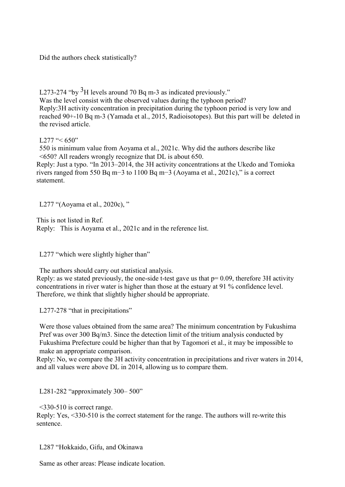Did the authors check statistically?

L273-274 "by  $3H$  levels around 70 Bq m-3 as indicated previously." Was the level consist with the observed values during the typhoon period? Reply:3H activity concentration in precipitation during the typhoon period is very low and reached 90+-10 Bq m-3 (Yamada et al., 2015, Radioisotopes). But this part will be deleted in the revised article.

## L277 " $< 650"$

550 is minimum value from Aoyama et al., 2021c. Why did the authors describe like <650? All readers wrongly recognize that DL is about 650.

Reply: Just a typo. "In 2013–2014, the 3H activity concentrations at the Ukedo and Tomioka rivers ranged from 550 Bq m−3 to 1100 Bq m−3 (Aoyama et al., 2021c)," is a correct statement.

L277 "(Aoyama et al., 2020c), "

This is not listed in Ref. Reply: This is Aoyama et al., 2021c and in the reference list.

L277 "which were slightly higher than"

The authors should carry out statistical analysis. Reply: as we stated previously, the one-side t-test gave us that  $p= 0.09$ , therefore 3H activity concentrations in river water is higher than those at the estuary at 91 % confidence level. Therefore, we think that slightly higher should be appropriate.

L277-278 "that in precipitations"

Were those values obtained from the same area? The minimum concentration by Fukushima Pref was over 300 Bq/m3. Since the detection limit of the tritium analysis conducted by Fukushima Prefecture could be higher than that by Tagomori et al., it may be impossible to make an appropriate comparison.

Reply: No, we compare the 3H activity concentration in precipitations and river waters in 2014, and all values were above DL in 2014, allowing us to compare them.

L281-282 "approximately 300– 500"

 $\leq$ 330-510 is correct range.

Reply: Yes, <330-510 is the correct statement for the range. The authors will re-write this sentence.

L287 "Hokkaido, Gifu, and Okinawa

Same as other areas: Please indicate location.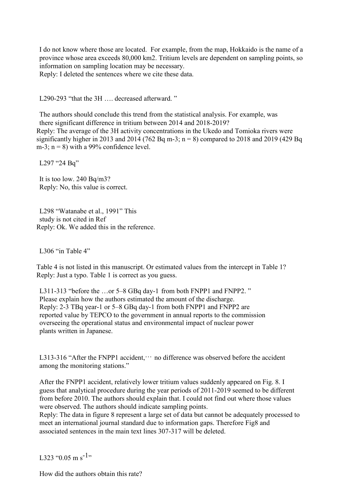I do not know where those are located. For example, from the map, Hokkaido is the name of a province whose area exceeds 80,000 km2. Tritium levels are dependent on sampling points, so information on sampling location may be necessary.

Reply: I deleted the sentences where we cite these data.

L290-293 "that the 3H .... decreased afterward."

The authors should conclude this trend from the statistical analysis. For example, was there significant difference in tritium between 2014 and 2018-2019? Reply: The average of the 3H activity concentrations in the Ukedo and Tomioka rivers were significantly higher in 2013 and 2014 (762 Bq m-3;  $n = 8$ ) compared to 2018 and 2019 (429 Bq m-3;  $n = 8$ ) with a 99% confidence level.

L297 "24 Bq"

It is too low. 240 Bq/m3? Reply: No, this value is correct.

L298 "Watanabe et al., 1991" This study is not cited in Ref Reply: Ok. We added this in the reference.

L306 "in Table 4"

Table 4 is not listed in this manuscript. Or estimated values from the intercept in Table 1? Reply: Just a typo. Table 1 is correct as you guess.

L311-313 "before the ...or 5–8 GBq day-1 from both FNPP1 and FNPP2." Please explain how the authors estimated the amount of the discharge. Reply: 2-3 TBq year-1 or 5–8 GBq day-1 from both FNPP1 and FNPP2 are reported value by TEPCO to the government in annual reports to the commission overseeing the operational status and environmental impact of nuclear power plants written in Japanese.

L313-316 "After the FNPP1 accident, $\cdots$  no difference was observed before the accident among the monitoring stations."

After the FNPP1 accident, relatively lower tritium values suddenly appeared on Fig. 8. I guess that analytical procedure during the year periods of 2011-2019 seemed to be different from before 2010. The authors should explain that. I could not find out where those values were observed. The authors should indicate sampling points.

Reply: The data in figure 8 represent a large set of data but cannot be adequately processed to meet an international journal standard due to information gaps. Therefore Fig8 and associated sentences in the main text lines 307-317 will be deleted.

L323 "0.05 m s<sup>-1</sup>"

How did the authors obtain this rate?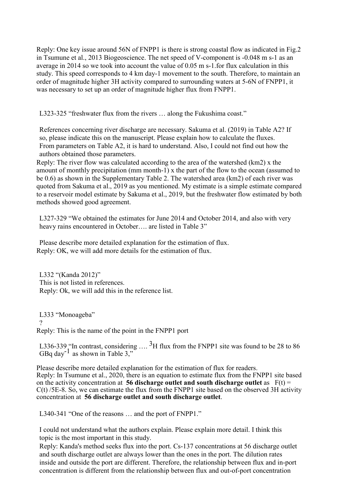Reply: One key issue around 56N of FNPP1 is there is strong coastal flow as indicated in Fig.2 in Tsumune et al., 2013 Biogeoscience. The net speed of V-component is -0.048 m s-1 as an average in 2014 so we took into account the value of 0.05 m s-1.for flux calculation in this study. This speed corresponds to 4 km day-1 movement to the south. Therefore, to maintain an order of magnitude higher 3H activity compared to surrounding waters at 5-6N of FNPP1, it was necessary to set up an order of magnitude higher flux from FNPP1.

L323-325 "freshwater flux from the rivers … along the Fukushima coast."

References concerning river discharge are necessary. Sakuma et al. (2019) in Table A2? If so, please indicate this on the manuscript. Please explain how to calculate the fluxes. From parameters on Table A2, it is hard to understand. Also, I could not find out how the authors obtained those parameters.

Reply: The river flow was calculated according to the area of the watershed (km2) x the amount of monthly precipitation (mm month-1) x the part of the flow to the ocean (assumed to be 0.6) as shown in the Supplementary Table 2. The watershed area (km2) of each river was quoted from Sakuma et al., 2019 as you mentioned. My estimate is a simple estimate compared to a reservoir model estimate by Sakuma et al., 2019, but the freshwater flow estimated by both methods showed good agreement.

L327-329 "We obtained the estimates for June 2014 and October 2014, and also with very heavy rains encountered in October.... are listed in Table 3"

Please describe more detailed explanation for the estimation of flux. Reply: OK, we will add more details for the estimation of flux.

L332 "(Kanda 2012)" This is not listed in references. Reply: Ok, we will add this in the reference list.

L333 "Monoageba" ? Reply: This is the name of the point in the FNPP1 port

L336-339 "In contrast, considering  $\ldots$  <sup>3</sup>H flux from the FNPP1 site was found to be 28 to 86 GBq day<sup>-1</sup> as shown in Table 3,"

Please describe more detailed explanation for the estimation of flux for readers. Reply: In Tsumune et al., 2020, there is an equation to estimate flux from the FNPP1 site based on the activity concentration at **56 discharge outlet and south discharge outlet** as  $F(t) =$ C(t) /5E-8. So, we can estimate the flux from the FNPP1 site based on the observed 3H activity concentration at **56 discharge outlet and south discharge outlet**.

L340-341 "One of the reasons … and the port of FNPP1."

I could not understand what the authors explain. Please explain more detail. I think this topic is the most important in this study.

Reply: Kanda's method seeks flux into the port. Cs-137 concentrations at 56 discharge outlet and south discharge outlet are always lower than the ones in the port. The dilution rates inside and outside the port are different. Therefore, the relationship between flux and in-port concentration is different from the relationship between flux and out-of-port concentration